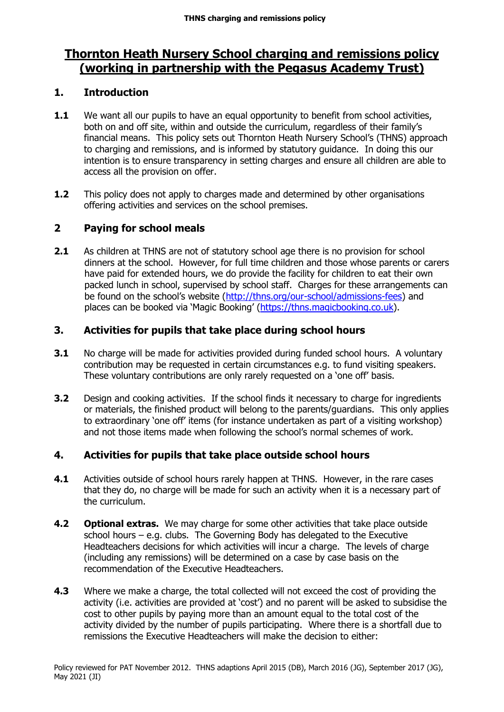# **Thornton Heath Nursery School charging and remissions policy (working in partnership with the Pegasus Academy Trust)**

# **1. Introduction**

- **1.1** We want all our pupils to have an equal opportunity to benefit from school activities, both on and off site, within and outside the curriculum, regardless of their family's financial means. This policy sets out Thornton Heath Nursery School's (THNS) approach to charging and remissions, and is informed by statutory guidance. In doing this our intention is to ensure transparency in setting charges and ensure all children are able to access all the provision on offer.
- **1.2** This policy does not apply to charges made and determined by other organisations offering activities and services on the school premises.

# **2 Paying for school meals**

**2.1** As children at THNS are not of statutory school age there is no provision for school dinners at the school. However, for full time children and those whose parents or carers have paid for extended hours, we do provide the facility for children to eat their own packed lunch in school, supervised by school staff. Charges for these arrangements can be found on the school's website ([http://thns.org/our-school/admissions-fees\)](http://thns.org/our-school/admissions-fees) and places can be booked via 'Magic Booking' ([https://thns.magicbooking.co.uk\)](https://thns.magicbooking.co.uk/Account/Login).

## **3. Activities for pupils that take place during school hours**

- **3.1** No charge will be made for activities provided during funded school hours. A voluntary contribution may be requested in certain circumstances e.g. to fund visiting speakers. These voluntary contributions are only rarely requested on a 'one off' basis.
- **3.2** Design and cooking activities. If the school finds it necessary to charge for ingredients or materials, the finished product will belong to the parents/guardians. This only applies to extraordinary 'one off' items (for instance undertaken as part of a visiting workshop) and not those items made when following the school's normal schemes of work.

# **4. Activities for pupils that take place outside school hours**

- **4.1** Activities outside of school hours rarely happen at THNS. However, in the rare cases that they do, no charge will be made for such an activity when it is a necessary part of the curriculum.
- **4.2 Optional extras.** We may charge for some other activities that take place outside school hours – e.g. clubs. The Governing Body has delegated to the Executive Headteachers decisions for which activities will incur a charge. The levels of charge (including any remissions) will be determined on a case by case basis on the recommendation of the Executive Headteachers.
- **4.3** Where we make a charge, the total collected will not exceed the cost of providing the activity (i.e. activities are provided at 'cost') and no parent will be asked to subsidise the cost to other pupils by paying more than an amount equal to the total cost of the activity divided by the number of pupils participating. Where there is a shortfall due to remissions the Executive Headteachers will make the decision to either: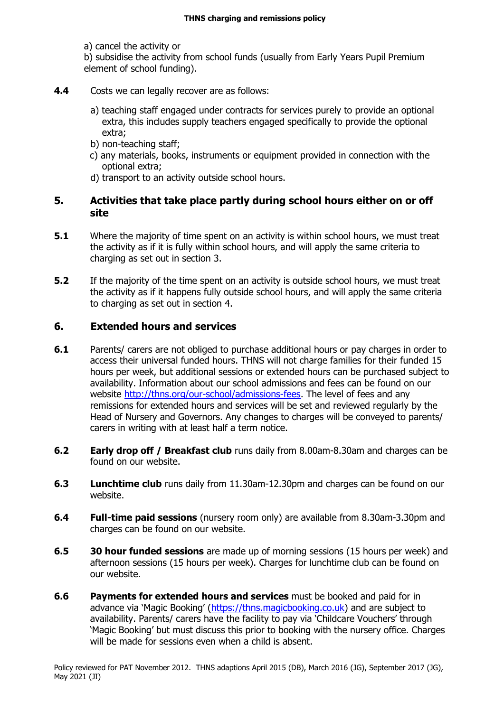a) cancel the activity or

b) subsidise the activity from school funds (usually from Early Years Pupil Premium element of school funding).

- **4.4** Costs we can legally recover are as follows:
	- a) teaching staff engaged under contracts for services purely to provide an optional extra, this includes supply teachers engaged specifically to provide the optional extra;
	- b) non-teaching staff;
	- c) any materials, books, instruments or equipment provided in connection with the optional extra;
	- d) transport to an activity outside school hours.

## **5. Activities that take place partly during school hours either on or off site**

- **5.1** Where the majority of time spent on an activity is within school hours, we must treat the activity as if it is fully within school hours, and will apply the same criteria to charging as set out in section 3.
- **5.2** If the majority of the time spent on an activity is outside school hours, we must treat the activity as if it happens fully outside school hours, and will apply the same criteria to charging as set out in section 4.

## **6. Extended hours and services**

- **6.1** Parents/ carers are not obliged to purchase additional hours or pay charges in order to access their universal funded hours. THNS will not charge families for their funded 15 hours per week, but additional sessions or extended hours can be purchased subject to availability. Information about our school admissions and fees can be found on our website [http://thns.org/our-school/admissions-fees.](http://thns.org/our-school/admissions-fees) The level of fees and any remissions for extended hours and services will be set and reviewed regularly by the Head of Nursery and Governors. Any changes to charges will be conveyed to parents/ carers in writing with at least half a term notice.
- **6.2 Early drop off / Breakfast club** runs daily from 8.00am-8.30am and charges can be found on our website.
- **6.3 Lunchtime club** runs daily from 11.30am-12.30pm and charges can be found on our website.
- **6.4 Full-time paid sessions** (nursery room only) are available from 8.30am-3.30pm and charges can be found on our website.
- **6.5 30 hour funded sessions** are made up of morning sessions (15 hours per week) and afternoon sessions (15 hours per week). Charges for lunchtime club can be found on our website.
- **6.6 Payments for extended hours and services** must be booked and paid for in advance via 'Magic Booking' ([https://thns.magicbooking.co.uk\)](https://thns.magicbooking.co.uk/Account/Login) and are subject to availability. Parents/ carers have the facility to pay via 'Childcare Vouchers' through 'Magic Booking' but must discuss this prior to booking with the nursery office. Charges will be made for sessions even when a child is absent.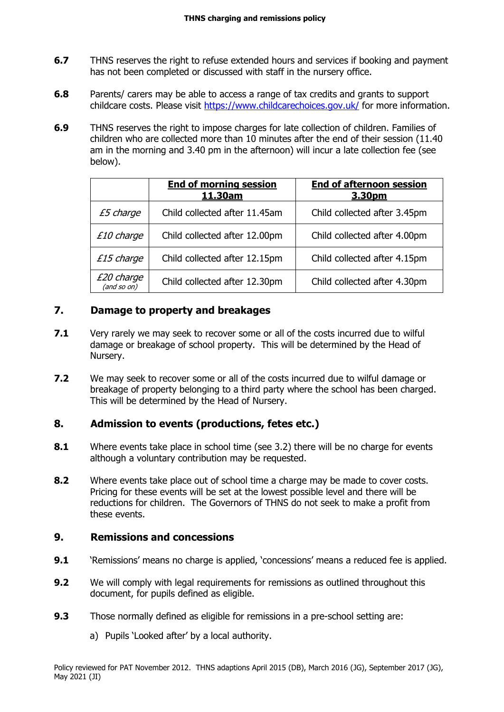- **6.7** THNS reserves the right to refuse extended hours and services if booking and payment has not been completed or discussed with staff in the nursery office.
- **6.8** Parents/ carers may be able to access a range of tax credits and grants to support childcare costs. Please visit<https://www.childcarechoices.gov.uk/> for more information.
- **6.9** THNS reserves the right to impose charges for late collection of children. Families of children who are collected more than 10 minutes after the end of their session (11.40 am in the morning and 3.40 pm in the afternoon) will incur a late collection fee (see below).

|                                  | <b>End of morning session</b><br>11.30am | <b>End of afternoon session</b><br>3.30pm |
|----------------------------------|------------------------------------------|-------------------------------------------|
| £5 charge                        | Child collected after 11.45am            | Child collected after 3.45pm              |
| £10 charge                       | Child collected after 12.00pm            | Child collected after 4.00pm              |
| £15 charge                       | Child collected after 12.15pm            | Child collected after 4.15pm              |
| <i>E20 charge</i><br>(and so on) | Child collected after 12.30pm            | Child collected after 4.30pm              |

## **7. Damage to property and breakages**

- **7.1** Very rarely we may seek to recover some or all of the costs incurred due to wilful damage or breakage of school property. This will be determined by the Head of Nursery.
- **7.2** We may seek to recover some or all of the costs incurred due to wilful damage or breakage of property belonging to a third party where the school has been charged. This will be determined by the Head of Nursery.

#### **8. Admission to events (productions, fetes etc.)**

- **8.1** Where events take place in school time (see 3.2) there will be no charge for events although a voluntary contribution may be requested.
- **8.2** Where events take place out of school time a charge may be made to cover costs. Pricing for these events will be set at the lowest possible level and there will be reductions for children. The Governors of THNS do not seek to make a profit from these events.

#### **9. Remissions and concessions**

- **9.1** 'Remissions' means no charge is applied, 'concessions' means a reduced fee is applied.
- **9.2** We will comply with legal requirements for remissions as outlined throughout this document, for pupils defined as eligible.
- **9.3** Those normally defined as eligible for remissions in a pre-school setting are:
	- a) Pupils 'Looked after' by a local authority.